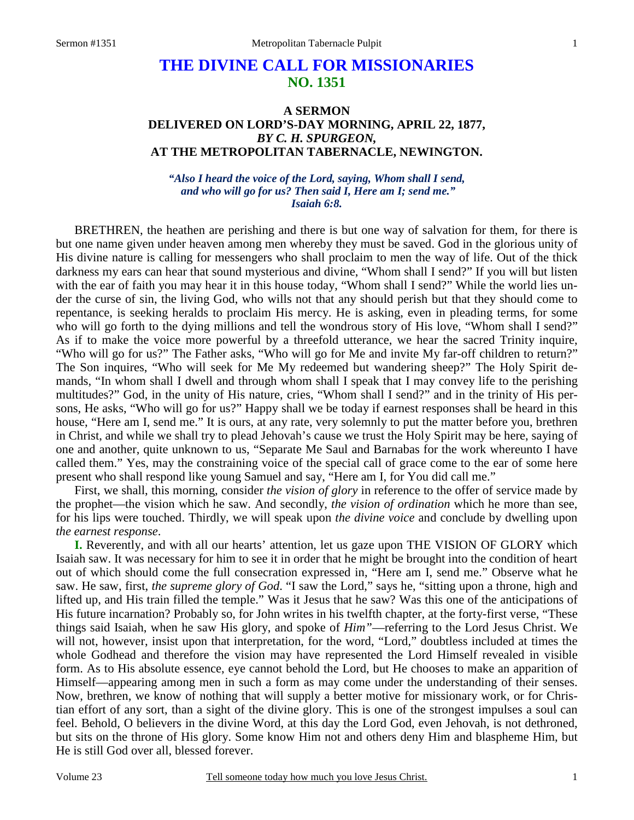## **THE DIVINE CALL FOR MISSIONARIES NO. 1351**

## **A SERMON DELIVERED ON LORD'S-DAY MORNING, APRIL 22, 1877,**  *BY C. H. SPURGEON,*  **AT THE METROPOLITAN TABERNACLE, NEWINGTON.**

*"Also I heard the voice of the Lord, saying, Whom shall I send, and who will go for us? Then said I, Here am I; send me." Isaiah 6:8.* 

BRETHREN, the heathen are perishing and there is but one way of salvation for them, for there is but one name given under heaven among men whereby they must be saved. God in the glorious unity of His divine nature is calling for messengers who shall proclaim to men the way of life. Out of the thick darkness my ears can hear that sound mysterious and divine, "Whom shall I send?" If you will but listen with the ear of faith you may hear it in this house today, "Whom shall I send?" While the world lies under the curse of sin, the living God, who wills not that any should perish but that they should come to repentance, is seeking heralds to proclaim His mercy. He is asking, even in pleading terms, for some who will go forth to the dying millions and tell the wondrous story of His love, "Whom shall I send?" As if to make the voice more powerful by a threefold utterance, we hear the sacred Trinity inquire, "Who will go for us?" The Father asks, "Who will go for Me and invite My far-off children to return?" The Son inquires, "Who will seek for Me My redeemed but wandering sheep?" The Holy Spirit demands, "In whom shall I dwell and through whom shall I speak that I may convey life to the perishing multitudes?" God, in the unity of His nature, cries, "Whom shall I send?" and in the trinity of His persons, He asks, "Who will go for us?" Happy shall we be today if earnest responses shall be heard in this house, "Here am I, send me." It is ours, at any rate, very solemnly to put the matter before you, brethren in Christ, and while we shall try to plead Jehovah's cause we trust the Holy Spirit may be here, saying of one and another, quite unknown to us, "Separate Me Saul and Barnabas for the work whereunto I have called them." Yes, may the constraining voice of the special call of grace come to the ear of some here present who shall respond like young Samuel and say, "Here am I, for You did call me."

First, we shall, this morning, consider *the vision of glory* in reference to the offer of service made by the prophet—the vision which he saw. And secondly, *the vision of ordination* which he more than see, for his lips were touched. Thirdly, we will speak upon *the divine voice* and conclude by dwelling upon *the earnest response*.

**I.** Reverently, and with all our hearts' attention, let us gaze upon THE VISION OF GLORY which Isaiah saw. It was necessary for him to see it in order that he might be brought into the condition of heart out of which should come the full consecration expressed in, "Here am I, send me." Observe what he saw. He saw, first, *the supreme glory of God*. "I saw the Lord," says he, "sitting upon a throne, high and lifted up, and His train filled the temple." Was it Jesus that he saw? Was this one of the anticipations of His future incarnation? Probably so, for John writes in his twelfth chapter, at the forty-first verse, "These things said Isaiah, when he saw His glory, and spoke of *Him"*—referring to the Lord Jesus Christ. We will not, however, insist upon that interpretation, for the word, "Lord," doubtless included at times the whole Godhead and therefore the vision may have represented the Lord Himself revealed in visible form. As to His absolute essence, eye cannot behold the Lord, but He chooses to make an apparition of Himself—appearing among men in such a form as may come under the understanding of their senses. Now, brethren, we know of nothing that will supply a better motive for missionary work, or for Christian effort of any sort, than a sight of the divine glory. This is one of the strongest impulses a soul can feel. Behold, O believers in the divine Word, at this day the Lord God, even Jehovah, is not dethroned, but sits on the throne of His glory. Some know Him not and others deny Him and blaspheme Him, but He is still God over all, blessed forever.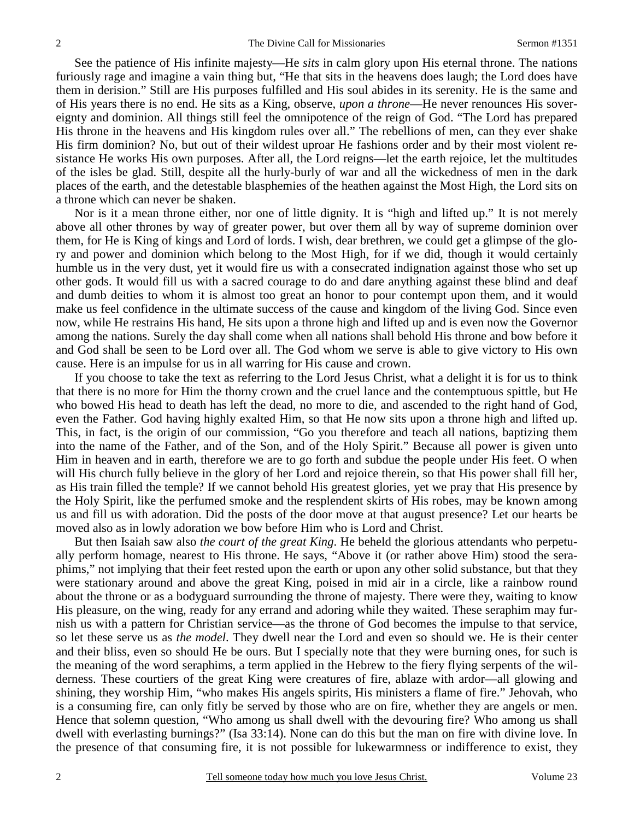See the patience of His infinite majesty—He *sits* in calm glory upon His eternal throne. The nations furiously rage and imagine a vain thing but, "He that sits in the heavens does laugh; the Lord does have them in derision." Still are His purposes fulfilled and His soul abides in its serenity. He is the same and of His years there is no end. He sits as a King, observe, *upon a throne*—He never renounces His sovereignty and dominion. All things still feel the omnipotence of the reign of God. "The Lord has prepared His throne in the heavens and His kingdom rules over all." The rebellions of men, can they ever shake His firm dominion? No, but out of their wildest uproar He fashions order and by their most violent resistance He works His own purposes. After all, the Lord reigns—let the earth rejoice, let the multitudes of the isles be glad. Still, despite all the hurly-burly of war and all the wickedness of men in the dark places of the earth, and the detestable blasphemies of the heathen against the Most High, the Lord sits on a throne which can never be shaken.

Nor is it a mean throne either, nor one of little dignity. It is "high and lifted up." It is not merely above all other thrones by way of greater power, but over them all by way of supreme dominion over them, for He is King of kings and Lord of lords. I wish, dear brethren, we could get a glimpse of the glory and power and dominion which belong to the Most High, for if we did, though it would certainly humble us in the very dust, yet it would fire us with a consecrated indignation against those who set up other gods. It would fill us with a sacred courage to do and dare anything against these blind and deaf and dumb deities to whom it is almost too great an honor to pour contempt upon them, and it would make us feel confidence in the ultimate success of the cause and kingdom of the living God. Since even now, while He restrains His hand, He sits upon a throne high and lifted up and is even now the Governor among the nations. Surely the day shall come when all nations shall behold His throne and bow before it and God shall be seen to be Lord over all. The God whom we serve is able to give victory to His own cause. Here is an impulse for us in all warring for His cause and crown.

If you choose to take the text as referring to the Lord Jesus Christ, what a delight it is for us to think that there is no more for Him the thorny crown and the cruel lance and the contemptuous spittle, but He who bowed His head to death has left the dead, no more to die, and ascended to the right hand of God, even the Father. God having highly exalted Him, so that He now sits upon a throne high and lifted up. This, in fact, is the origin of our commission, "Go you therefore and teach all nations, baptizing them into the name of the Father, and of the Son, and of the Holy Spirit." Because all power is given unto Him in heaven and in earth, therefore we are to go forth and subdue the people under His feet. O when will His church fully believe in the glory of her Lord and rejoice therein, so that His power shall fill her, as His train filled the temple? If we cannot behold His greatest glories, yet we pray that His presence by the Holy Spirit, like the perfumed smoke and the resplendent skirts of His robes, may be known among us and fill us with adoration. Did the posts of the door move at that august presence? Let our hearts be moved also as in lowly adoration we bow before Him who is Lord and Christ.

But then Isaiah saw also *the court of the great King*. He beheld the glorious attendants who perpetually perform homage, nearest to His throne. He says, "Above it (or rather above Him) stood the seraphims," not implying that their feet rested upon the earth or upon any other solid substance, but that they were stationary around and above the great King, poised in mid air in a circle, like a rainbow round about the throne or as a bodyguard surrounding the throne of majesty. There were they, waiting to know His pleasure, on the wing, ready for any errand and adoring while they waited. These seraphim may furnish us with a pattern for Christian service—as the throne of God becomes the impulse to that service, so let these serve us as *the model*. They dwell near the Lord and even so should we. He is their center and their bliss, even so should He be ours. But I specially note that they were burning ones, for such is the meaning of the word seraphims, a term applied in the Hebrew to the fiery flying serpents of the wilderness. These courtiers of the great King were creatures of fire, ablaze with ardor—all glowing and shining, they worship Him, "who makes His angels spirits, His ministers a flame of fire." Jehovah, who is a consuming fire, can only fitly be served by those who are on fire, whether they are angels or men. Hence that solemn question, "Who among us shall dwell with the devouring fire? Who among us shall dwell with everlasting burnings?" (Isa 33:14). None can do this but the man on fire with divine love. In the presence of that consuming fire, it is not possible for lukewarmness or indifference to exist, they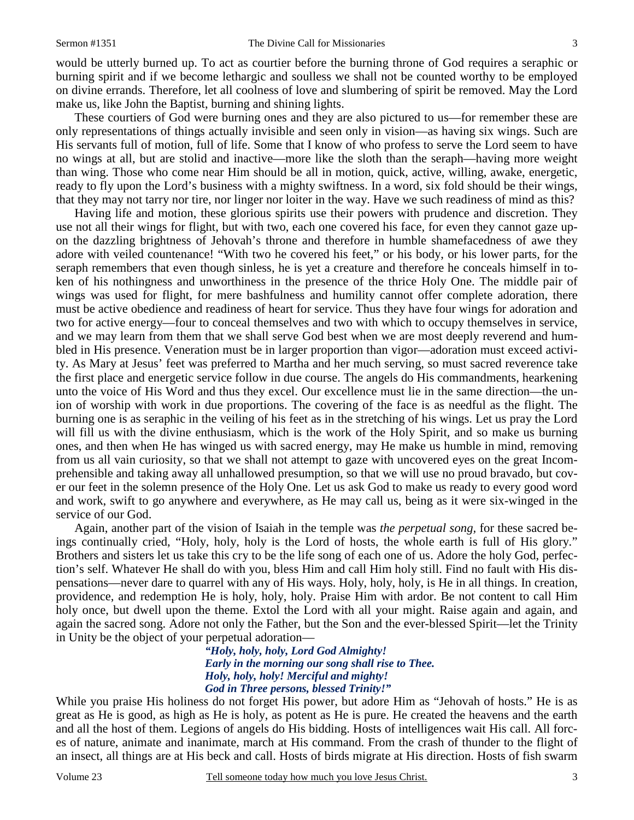would be utterly burned up. To act as courtier before the burning throne of God requires a seraphic or burning spirit and if we become lethargic and soulless we shall not be counted worthy to be employed on divine errands. Therefore, let all coolness of love and slumbering of spirit be removed. May the Lord make us, like John the Baptist, burning and shining lights.

These courtiers of God were burning ones and they are also pictured to us—for remember these are only representations of things actually invisible and seen only in vision—as having six wings. Such are His servants full of motion, full of life. Some that I know of who profess to serve the Lord seem to have no wings at all, but are stolid and inactive—more like the sloth than the seraph—having more weight than wing. Those who come near Him should be all in motion, quick, active, willing, awake, energetic, ready to fly upon the Lord's business with a mighty swiftness. In a word, six fold should be their wings, that they may not tarry nor tire, nor linger nor loiter in the way. Have we such readiness of mind as this?

Having life and motion, these glorious spirits use their powers with prudence and discretion. They use not all their wings for flight, but with two, each one covered his face, for even they cannot gaze upon the dazzling brightness of Jehovah's throne and therefore in humble shamefacedness of awe they adore with veiled countenance! "With two he covered his feet," or his body, or his lower parts, for the seraph remembers that even though sinless, he is yet a creature and therefore he conceals himself in token of his nothingness and unworthiness in the presence of the thrice Holy One. The middle pair of wings was used for flight, for mere bashfulness and humility cannot offer complete adoration, there must be active obedience and readiness of heart for service. Thus they have four wings for adoration and two for active energy—four to conceal themselves and two with which to occupy themselves in service, and we may learn from them that we shall serve God best when we are most deeply reverend and humbled in His presence. Veneration must be in larger proportion than vigor—adoration must exceed activity. As Mary at Jesus' feet was preferred to Martha and her much serving, so must sacred reverence take the first place and energetic service follow in due course. The angels do His commandments, hearkening unto the voice of His Word and thus they excel. Our excellence must lie in the same direction—the union of worship with work in due proportions. The covering of the face is as needful as the flight. The burning one is as seraphic in the veiling of his feet as in the stretching of his wings. Let us pray the Lord will fill us with the divine enthusiasm, which is the work of the Holy Spirit, and so make us burning ones, and then when He has winged us with sacred energy, may He make us humble in mind, removing from us all vain curiosity, so that we shall not attempt to gaze with uncovered eyes on the great Incomprehensible and taking away all unhallowed presumption, so that we will use no proud bravado, but cover our feet in the solemn presence of the Holy One. Let us ask God to make us ready to every good word and work, swift to go anywhere and everywhere, as He may call us, being as it were six-winged in the service of our God.

Again, another part of the vision of Isaiah in the temple was *the perpetual song,* for these sacred beings continually cried, "Holy, holy, holy is the Lord of hosts, the whole earth is full of His glory." Brothers and sisters let us take this cry to be the life song of each one of us. Adore the holy God, perfection's self. Whatever He shall do with you, bless Him and call Him holy still. Find no fault with His dispensations—never dare to quarrel with any of His ways. Holy, holy, holy, is He in all things. In creation, providence, and redemption He is holy, holy, holy. Praise Him with ardor. Be not content to call Him holy once, but dwell upon the theme. Extol the Lord with all your might. Raise again and again, and again the sacred song. Adore not only the Father, but the Son and the ever-blessed Spirit—let the Trinity in Unity be the object of your perpetual adoration—

> *"Holy, holy, holy, Lord God Almighty! Early in the morning our song shall rise to Thee. Holy, holy, holy! Merciful and mighty! God in Three persons, blessed Trinity!"*

While you praise His holiness do not forget His power, but adore Him as "Jehovah of hosts." He is as great as He is good, as high as He is holy, as potent as He is pure. He created the heavens and the earth and all the host of them. Legions of angels do His bidding. Hosts of intelligences wait His call. All forces of nature, animate and inanimate, march at His command. From the crash of thunder to the flight of an insect, all things are at His beck and call. Hosts of birds migrate at His direction. Hosts of fish swarm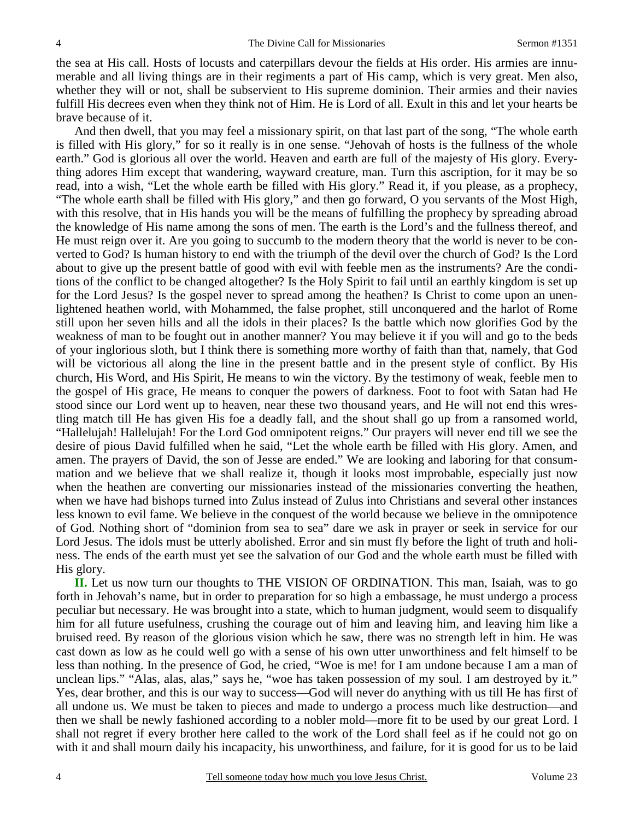the sea at His call. Hosts of locusts and caterpillars devour the fields at His order. His armies are innumerable and all living things are in their regiments a part of His camp, which is very great. Men also, whether they will or not, shall be subservient to His supreme dominion. Their armies and their navies fulfill His decrees even when they think not of Him. He is Lord of all. Exult in this and let your hearts be brave because of it.

And then dwell, that you may feel a missionary spirit, on that last part of the song, "The whole earth is filled with His glory," for so it really is in one sense. "Jehovah of hosts is the fullness of the whole earth." God is glorious all over the world. Heaven and earth are full of the majesty of His glory. Everything adores Him except that wandering, wayward creature, man. Turn this ascription, for it may be so read, into a wish, "Let the whole earth be filled with His glory." Read it, if you please, as a prophecy, "The whole earth shall be filled with His glory," and then go forward, O you servants of the Most High, with this resolve, that in His hands you will be the means of fulfilling the prophecy by spreading abroad the knowledge of His name among the sons of men. The earth is the Lord's and the fullness thereof, and He must reign over it. Are you going to succumb to the modern theory that the world is never to be converted to God? Is human history to end with the triumph of the devil over the church of God? Is the Lord about to give up the present battle of good with evil with feeble men as the instruments? Are the conditions of the conflict to be changed altogether? Is the Holy Spirit to fail until an earthly kingdom is set up for the Lord Jesus? Is the gospel never to spread among the heathen? Is Christ to come upon an unenlightened heathen world, with Mohammed, the false prophet, still unconquered and the harlot of Rome still upon her seven hills and all the idols in their places? Is the battle which now glorifies God by the weakness of man to be fought out in another manner? You may believe it if you will and go to the beds of your inglorious sloth, but I think there is something more worthy of faith than that, namely, that God will be victorious all along the line in the present battle and in the present style of conflict. By His church, His Word, and His Spirit, He means to win the victory. By the testimony of weak, feeble men to the gospel of His grace, He means to conquer the powers of darkness. Foot to foot with Satan had He stood since our Lord went up to heaven, near these two thousand years, and He will not end this wrestling match till He has given His foe a deadly fall, and the shout shall go up from a ransomed world, "Hallelujah! Hallelujah! For the Lord God omnipotent reigns." Our prayers will never end till we see the desire of pious David fulfilled when he said, "Let the whole earth be filled with His glory. Amen, and amen. The prayers of David, the son of Jesse are ended." We are looking and laboring for that consummation and we believe that we shall realize it, though it looks most improbable, especially just now when the heathen are converting our missionaries instead of the missionaries converting the heathen, when we have had bishops turned into Zulus instead of Zulus into Christians and several other instances less known to evil fame. We believe in the conquest of the world because we believe in the omnipotence of God. Nothing short of "dominion from sea to sea" dare we ask in prayer or seek in service for our Lord Jesus. The idols must be utterly abolished. Error and sin must fly before the light of truth and holiness. The ends of the earth must yet see the salvation of our God and the whole earth must be filled with His glory.

**II.** Let us now turn our thoughts to THE VISION OF ORDINATION. This man, Isaiah, was to go forth in Jehovah's name, but in order to preparation for so high a embassage, he must undergo a process peculiar but necessary. He was brought into a state, which to human judgment, would seem to disqualify him for all future usefulness, crushing the courage out of him and leaving him, and leaving him like a bruised reed. By reason of the glorious vision which he saw, there was no strength left in him. He was cast down as low as he could well go with a sense of his own utter unworthiness and felt himself to be less than nothing. In the presence of God, he cried, "Woe is me! for I am undone because I am a man of unclean lips." "Alas, alas, alas," says he, "woe has taken possession of my soul. I am destroyed by it." Yes, dear brother, and this is our way to success—God will never do anything with us till He has first of all undone us. We must be taken to pieces and made to undergo a process much like destruction—and then we shall be newly fashioned according to a nobler mold—more fit to be used by our great Lord. I shall not regret if every brother here called to the work of the Lord shall feel as if he could not go on with it and shall mourn daily his incapacity, his unworthiness, and failure, for it is good for us to be laid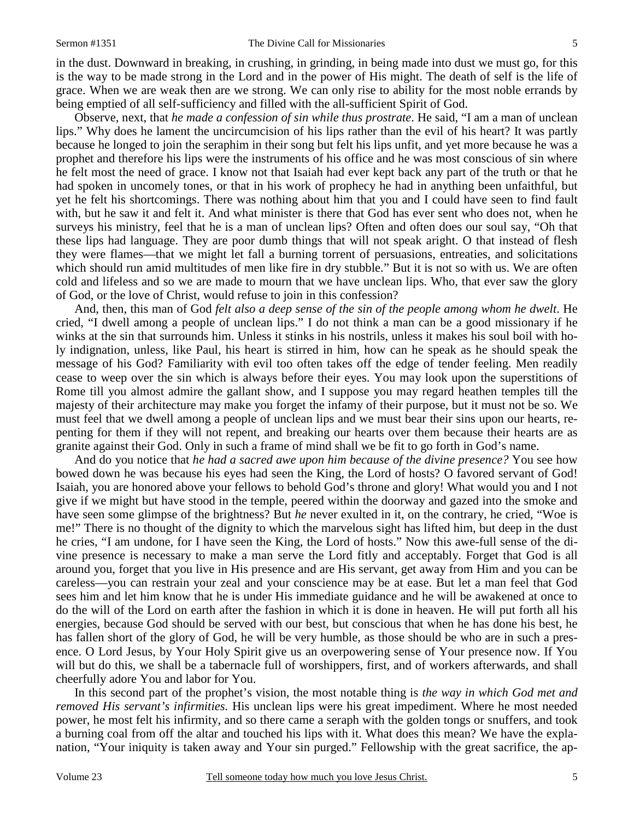in the dust. Downward in breaking, in crushing, in grinding, in being made into dust we must go, for this is the way to be made strong in the Lord and in the power of His might. The death of self is the life of grace. When we are weak then are we strong. We can only rise to ability for the most noble errands by being emptied of all self-sufficiency and filled with the all-sufficient Spirit of God.

Observe, next, that *he made a confession of sin while thus prostrate*. He said, "I am a man of unclean lips." Why does he lament the uncircumcision of his lips rather than the evil of his heart? It was partly because he longed to join the seraphim in their song but felt his lips unfit, and yet more because he was a prophet and therefore his lips were the instruments of his office and he was most conscious of sin where he felt most the need of grace. I know not that Isaiah had ever kept back any part of the truth or that he had spoken in uncomely tones, or that in his work of prophecy he had in anything been unfaithful, but yet he felt his shortcomings. There was nothing about him that you and I could have seen to find fault with, but he saw it and felt it. And what minister is there that God has ever sent who does not, when he surveys his ministry, feel that he is a man of unclean lips? Often and often does our soul say, "Oh that these lips had language. They are poor dumb things that will not speak aright. O that instead of flesh they were flames—that we might let fall a burning torrent of persuasions, entreaties, and solicitations which should run amid multitudes of men like fire in dry stubble." But it is not so with us. We are often cold and lifeless and so we are made to mourn that we have unclean lips. Who, that ever saw the glory of God, or the love of Christ, would refuse to join in this confession?

And, then, this man of God *felt also a deep sense of the sin of the people among whom he dwelt*. He cried, "I dwell among a people of unclean lips." I do not think a man can be a good missionary if he winks at the sin that surrounds him. Unless it stinks in his nostrils, unless it makes his soul boil with holy indignation, unless, like Paul, his heart is stirred in him, how can he speak as he should speak the message of his God? Familiarity with evil too often takes off the edge of tender feeling. Men readily cease to weep over the sin which is always before their eyes. You may look upon the superstitions of Rome till you almost admire the gallant show, and I suppose you may regard heathen temples till the majesty of their architecture may make you forget the infamy of their purpose, but it must not be so. We must feel that we dwell among a people of unclean lips and we must bear their sins upon our hearts, repenting for them if they will not repent, and breaking our hearts over them because their hearts are as granite against their God. Only in such a frame of mind shall we be fit to go forth in God's name.

And do you notice that *he had a sacred awe upon him because of the divine presence?* You see how bowed down he was because his eyes had seen the King, the Lord of hosts? O favored servant of God! Isaiah, you are honored above your fellows to behold God's throne and glory! What would you and I not give if we might but have stood in the temple, peered within the doorway and gazed into the smoke and have seen some glimpse of the brightness? But *he* never exulted in it, on the contrary, he cried, "Woe is me!" There is no thought of the dignity to which the marvelous sight has lifted him, but deep in the dust he cries, "I am undone, for I have seen the King, the Lord of hosts." Now this awe-full sense of the divine presence is necessary to make a man serve the Lord fitly and acceptably. Forget that God is all around you, forget that you live in His presence and are His servant, get away from Him and you can be careless—you can restrain your zeal and your conscience may be at ease. But let a man feel that God sees him and let him know that he is under His immediate guidance and he will be awakened at once to do the will of the Lord on earth after the fashion in which it is done in heaven. He will put forth all his energies, because God should be served with our best, but conscious that when he has done his best, he has fallen short of the glory of God, he will be very humble, as those should be who are in such a presence. O Lord Jesus, by Your Holy Spirit give us an overpowering sense of Your presence now. If You will but do this, we shall be a tabernacle full of worshippers, first, and of workers afterwards, and shall cheerfully adore You and labor for You.

In this second part of the prophet's vision, the most notable thing is *the way in which God met and removed His servant's infirmities.* His unclean lips were his great impediment. Where he most needed power, he most felt his infirmity, and so there came a seraph with the golden tongs or snuffers, and took a burning coal from off the altar and touched his lips with it. What does this mean? We have the explanation, "Your iniquity is taken away and Your sin purged." Fellowship with the great sacrifice, the ap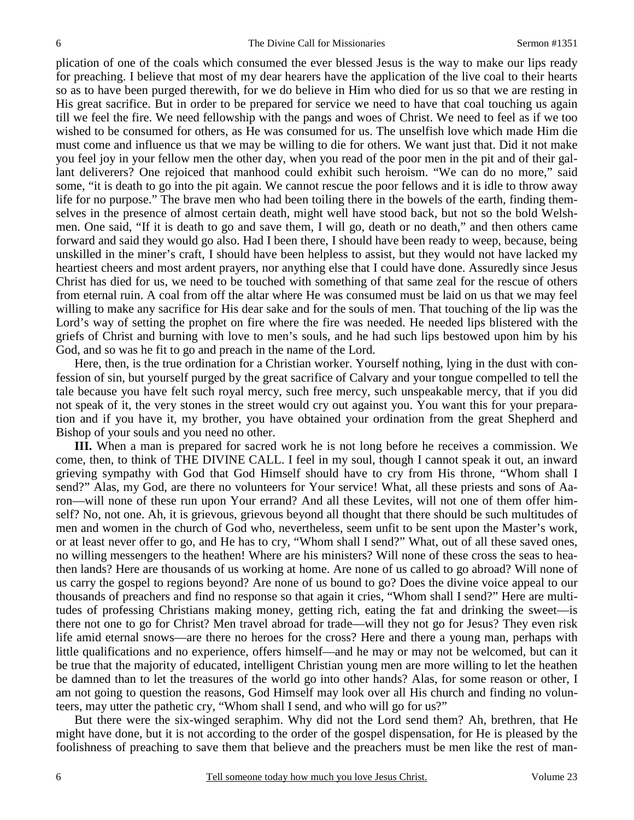plication of one of the coals which consumed the ever blessed Jesus is the way to make our lips ready for preaching. I believe that most of my dear hearers have the application of the live coal to their hearts so as to have been purged therewith, for we do believe in Him who died for us so that we are resting in His great sacrifice. But in order to be prepared for service we need to have that coal touching us again till we feel the fire. We need fellowship with the pangs and woes of Christ. We need to feel as if we too wished to be consumed for others, as He was consumed for us. The unselfish love which made Him die must come and influence us that we may be willing to die for others. We want just that. Did it not make you feel joy in your fellow men the other day, when you read of the poor men in the pit and of their gallant deliverers? One rejoiced that manhood could exhibit such heroism. "We can do no more," said some, "it is death to go into the pit again. We cannot rescue the poor fellows and it is idle to throw away life for no purpose." The brave men who had been toiling there in the bowels of the earth, finding themselves in the presence of almost certain death, might well have stood back, but not so the bold Welshmen. One said, "If it is death to go and save them, I will go, death or no death," and then others came forward and said they would go also. Had I been there, I should have been ready to weep, because, being unskilled in the miner's craft, I should have been helpless to assist, but they would not have lacked my heartiest cheers and most ardent prayers, nor anything else that I could have done. Assuredly since Jesus Christ has died for us, we need to be touched with something of that same zeal for the rescue of others from eternal ruin. A coal from off the altar where He was consumed must be laid on us that we may feel willing to make any sacrifice for His dear sake and for the souls of men. That touching of the lip was the Lord's way of setting the prophet on fire where the fire was needed. He needed lips blistered with the griefs of Christ and burning with love to men's souls, and he had such lips bestowed upon him by his God, and so was he fit to go and preach in the name of the Lord.

Here, then, is the true ordination for a Christian worker. Yourself nothing, lying in the dust with confession of sin, but yourself purged by the great sacrifice of Calvary and your tongue compelled to tell the tale because you have felt such royal mercy, such free mercy, such unspeakable mercy, that if you did not speak of it, the very stones in the street would cry out against you. You want this for your preparation and if you have it, my brother, you have obtained your ordination from the great Shepherd and Bishop of your souls and you need no other.

**III.** When a man is prepared for sacred work he is not long before he receives a commission. We come, then, to think of THE DIVINE CALL. I feel in my soul, though I cannot speak it out, an inward grieving sympathy with God that God Himself should have to cry from His throne, "Whom shall I send?" Alas, my God, are there no volunteers for Your service! What, all these priests and sons of Aaron—will none of these run upon Your errand? And all these Levites, will not one of them offer himself? No, not one. Ah, it is grievous, grievous beyond all thought that there should be such multitudes of men and women in the church of God who, nevertheless, seem unfit to be sent upon the Master's work, or at least never offer to go, and He has to cry, "Whom shall I send?" What, out of all these saved ones, no willing messengers to the heathen! Where are his ministers? Will none of these cross the seas to heathen lands? Here are thousands of us working at home. Are none of us called to go abroad? Will none of us carry the gospel to regions beyond? Are none of us bound to go? Does the divine voice appeal to our thousands of preachers and find no response so that again it cries, "Whom shall I send?" Here are multitudes of professing Christians making money, getting rich, eating the fat and drinking the sweet—is there not one to go for Christ? Men travel abroad for trade—will they not go for Jesus? They even risk life amid eternal snows—are there no heroes for the cross? Here and there a young man, perhaps with little qualifications and no experience, offers himself—and he may or may not be welcomed, but can it be true that the majority of educated, intelligent Christian young men are more willing to let the heathen be damned than to let the treasures of the world go into other hands? Alas, for some reason or other, I am not going to question the reasons, God Himself may look over all His church and finding no volunteers, may utter the pathetic cry, "Whom shall I send, and who will go for us?"

But there were the six-winged seraphim. Why did not the Lord send them? Ah, brethren, that He might have done, but it is not according to the order of the gospel dispensation, for He is pleased by the foolishness of preaching to save them that believe and the preachers must be men like the rest of man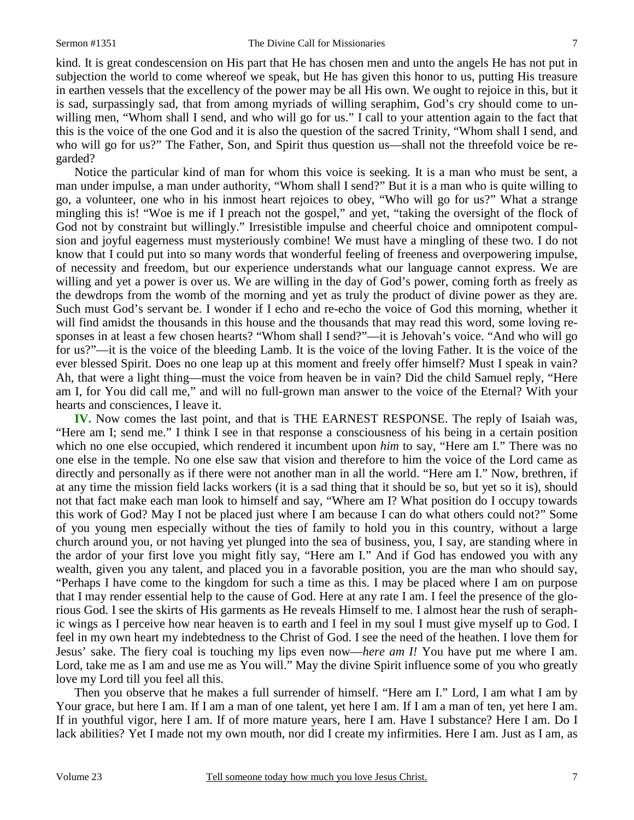kind. It is great condescension on His part that He has chosen men and unto the angels He has not put in subjection the world to come whereof we speak, but He has given this honor to us, putting His treasure in earthen vessels that the excellency of the power may be all His own. We ought to rejoice in this, but it is sad, surpassingly sad, that from among myriads of willing seraphim, God's cry should come to unwilling men, "Whom shall I send, and who will go for us." I call to your attention again to the fact that this is the voice of the one God and it is also the question of the sacred Trinity, "Whom shall I send, and who will go for us?" The Father, Son, and Spirit thus question us—shall not the threefold voice be regarded?

Notice the particular kind of man for whom this voice is seeking. It is a man who must be sent, a man under impulse, a man under authority, "Whom shall I send?" But it is a man who is quite willing to go, a volunteer, one who in his inmost heart rejoices to obey, "Who will go for us?" What a strange mingling this is! "Woe is me if I preach not the gospel," and yet, "taking the oversight of the flock of God not by constraint but willingly." Irresistible impulse and cheerful choice and omnipotent compulsion and joyful eagerness must mysteriously combine! We must have a mingling of these two. I do not know that I could put into so many words that wonderful feeling of freeness and overpowering impulse, of necessity and freedom, but our experience understands what our language cannot express. We are willing and yet a power is over us. We are willing in the day of God's power, coming forth as freely as the dewdrops from the womb of the morning and yet as truly the product of divine power as they are. Such must God's servant be. I wonder if I echo and re-echo the voice of God this morning, whether it will find amidst the thousands in this house and the thousands that may read this word, some loving responses in at least a few chosen hearts? "Whom shall I send?"—it is Jehovah's voice. "And who will go for us?"—it is the voice of the bleeding Lamb. It is the voice of the loving Father. It is the voice of the ever blessed Spirit. Does no one leap up at this moment and freely offer himself? Must I speak in vain? Ah, that were a light thing—must the voice from heaven be in vain? Did the child Samuel reply, "Here am I, for You did call me," and will no full-grown man answer to the voice of the Eternal? With your hearts and consciences, I leave it.

**IV.** Now comes the last point, and that is THE EARNEST RESPONSE. The reply of Isaiah was, "Here am I; send me." I think I see in that response a consciousness of his being in a certain position which no one else occupied, which rendered it incumbent upon *him* to say, "Here am I." There was no one else in the temple. No one else saw that vision and therefore to him the voice of the Lord came as directly and personally as if there were not another man in all the world. "Here am I." Now, brethren, if at any time the mission field lacks workers (it is a sad thing that it should be so, but yet so it is), should not that fact make each man look to himself and say, "Where am I? What position do I occupy towards this work of God? May I not be placed just where I am because I can do what others could not?" Some of you young men especially without the ties of family to hold you in this country, without a large church around you, or not having yet plunged into the sea of business, you, I say, are standing where in the ardor of your first love you might fitly say, "Here am I." And if God has endowed you with any wealth, given you any talent, and placed you in a favorable position, you are the man who should say, "Perhaps I have come to the kingdom for such a time as this. I may be placed where I am on purpose that I may render essential help to the cause of God. Here at any rate I am. I feel the presence of the glorious God. I see the skirts of His garments as He reveals Himself to me. I almost hear the rush of seraphic wings as I perceive how near heaven is to earth and I feel in my soul I must give myself up to God. I feel in my own heart my indebtedness to the Christ of God. I see the need of the heathen. I love them for Jesus' sake. The fiery coal is touching my lips even now—*here am I!* You have put me where I am. Lord, take me as I am and use me as You will." May the divine Spirit influence some of you who greatly love my Lord till you feel all this.

Then you observe that he makes a full surrender of himself. "Here am I." Lord, I am what I am by Your grace, but here I am. If I am a man of one talent, yet here I am. If I am a man of ten, yet here I am. If in youthful vigor, here I am. If of more mature years, here I am. Have I substance? Here I am. Do I lack abilities? Yet I made not my own mouth, nor did I create my infirmities. Here I am. Just as I am, as